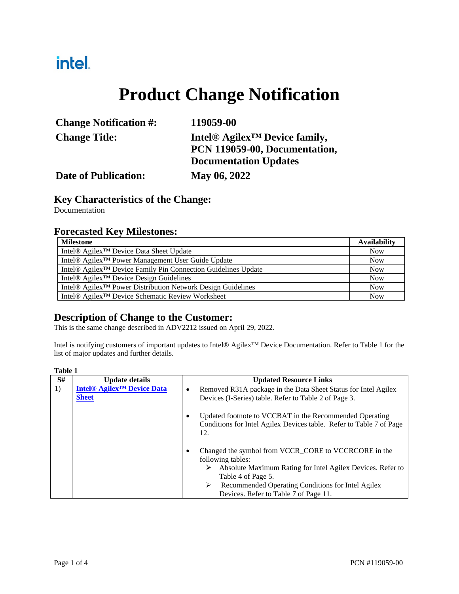## intel.

# **Product Change Notification**

| <b>Change Notification #:</b> | 119059-00                                             |  |
|-------------------------------|-------------------------------------------------------|--|
| <b>Change Title:</b>          | Intel <sup>®</sup> Agilex <sup>™</sup> Device family, |  |
|                               | PCN 119059-00, Documentation,                         |  |
|                               | <b>Documentation Updates</b>                          |  |
| <b>Date of Publication:</b>   | May 06, 2022                                          |  |

#### **Key Characteristics of the Change:**

Documentation

#### **Forecasted Key Milestones:**

| <b>Milestone</b>                                                                      | <b>Availability</b> |
|---------------------------------------------------------------------------------------|---------------------|
| Intel <sup>®</sup> Agilex <sup>™</sup> Device Data Sheet Update                       | <b>Now</b>          |
| Intel® Agilex <sup>™</sup> Power Management User Guide Update                         | <b>Now</b>          |
| Intel <sup>®</sup> Agilex <sup>™</sup> Device Family Pin Connection Guidelines Update | <b>Now</b>          |
| Intel® Agilex <sup>™</sup> Device Design Guidelines                                   | <b>Now</b>          |
| Intel <sup>®</sup> Agilex <sup>™</sup> Power Distribution Network Design Guidelines   | <b>Now</b>          |
| Intel® Agilex <sup>™</sup> Device Schematic Review Worksheet                          | <b>Now</b>          |

### **Description of Change to the Customer:**

This is the same change described in ADV2212 issued on April 29, 2022.

Intel is notifying customers of important updates to Intel® Agilex™ Device Documentation. Refer to Table 1 for the list of major updates and further details.

| S# | <b>Update details</b>                                                   | <b>Updated Resource Links</b>                                                                                                                                                                                                                                                  |  |  |
|----|-------------------------------------------------------------------------|--------------------------------------------------------------------------------------------------------------------------------------------------------------------------------------------------------------------------------------------------------------------------------|--|--|
| 1) | <b>Intel<sup>®</sup> Agilex<sup>™</sup> Device Data</b><br><b>Sheet</b> | Removed R31A package in the Data Sheet Status for Intel Agilex<br>٠<br>Devices (I-Series) table. Refer to Table 2 of Page 3.                                                                                                                                                   |  |  |
|    |                                                                         | Updated footnote to VCCBAT in the Recommended Operating<br>$\bullet$<br>Conditions for Intel Agilex Devices table. Refer to Table 7 of Page<br>12.                                                                                                                             |  |  |
|    |                                                                         | Changed the symbol from VCCR_CORE to VCCRCORE in the<br>٠<br>following tables: $-$<br>Absolute Maximum Rating for Intel Agilex Devices. Refer to<br>➤<br>Table 4 of Page 5.<br>Recommended Operating Conditions for Intel Agilex<br>➤<br>Devices. Refer to Table 7 of Page 11. |  |  |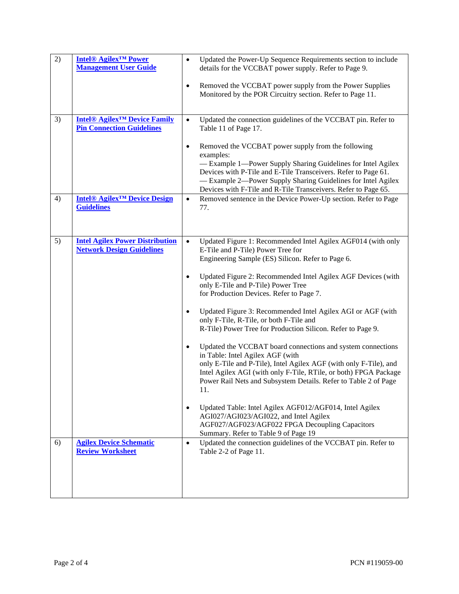| 2) | <b>Intel® Agilex<sup>TM</sup> Power</b><br><b>Management User Guide</b>                       | $\bullet$ | Updated the Power-Up Sequence Requirements section to include<br>details for the VCCBAT power supply. Refer to Page 9.                                                                                                                                                                                                            |  |
|----|-----------------------------------------------------------------------------------------------|-----------|-----------------------------------------------------------------------------------------------------------------------------------------------------------------------------------------------------------------------------------------------------------------------------------------------------------------------------------|--|
|    |                                                                                               | $\bullet$ | Removed the VCCBAT power supply from the Power Supplies<br>Monitored by the POR Circuitry section. Refer to Page 11.                                                                                                                                                                                                              |  |
| 3) | <b>Intel<sup>®</sup> Agilex<sup>™</sup> Device Family</b><br><b>Pin Connection Guidelines</b> | $\bullet$ | Updated the connection guidelines of the VCCBAT pin. Refer to<br>Table 11 of Page 17.                                                                                                                                                                                                                                             |  |
|    |                                                                                               | $\bullet$ | Removed the VCCBAT power supply from the following<br>examples:<br>-Example 1-Power Supply Sharing Guidelines for Intel Agilex<br>Devices with P-Tile and E-Tile Transceivers. Refer to Page 61.<br>-Example 2-Power Supply Sharing Guidelines for Intel Agilex<br>Devices with F-Tile and R-Tile Transceivers. Refer to Page 65. |  |
| 4) | <b>Intel<sup>®</sup> Agilex<sup>™</sup> Device Design</b><br><b>Guidelines</b>                | $\bullet$ | Removed sentence in the Device Power-Up section. Refer to Page<br>77.                                                                                                                                                                                                                                                             |  |
| 5) | <b>Intel Agilex Power Distribution</b><br><b>Network Design Guidelines</b>                    | $\bullet$ | Updated Figure 1: Recommended Intel Agilex AGF014 (with only<br>E-Tile and P-Tile) Power Tree for<br>Engineering Sample (ES) Silicon. Refer to Page 6.                                                                                                                                                                            |  |
|    |                                                                                               |           | Updated Figure 2: Recommended Intel Agilex AGF Devices (with<br>only E-Tile and P-Tile) Power Tree<br>for Production Devices. Refer to Page 7.                                                                                                                                                                                    |  |
|    |                                                                                               | $\bullet$ | Updated Figure 3: Recommended Intel Agilex AGI or AGF (with<br>only F-Tile, R-Tile, or both F-Tile and<br>R-Tile) Power Tree for Production Silicon. Refer to Page 9.                                                                                                                                                             |  |
|    |                                                                                               | $\bullet$ | Updated the VCCBAT board connections and system connections<br>in Table: Intel Agilex AGF (with<br>only E-Tile and P-Tile), Intel Agilex AGF (with only F-Tile), and<br>Intel Agilex AGI (with only F-Tile, RTile, or both) FPGA Package<br>Power Rail Nets and Subsystem Details. Refer to Table 2 of Page<br>11.                |  |
|    |                                                                                               | $\bullet$ | Updated Table: Intel Agilex AGF012/AGF014, Intel Agilex<br>AGI027/AGI023/AGI022, and Intel Agilex<br>AGF027/AGF023/AGF022 FPGA Decoupling Capacitors<br>Summary. Refer to Table 9 of Page 19                                                                                                                                      |  |
| 6) | <b>Agilex Device Schematic</b><br><b>Review Worksheet</b>                                     | $\bullet$ | Updated the connection guidelines of the VCCBAT pin. Refer to<br>Table 2-2 of Page 11.                                                                                                                                                                                                                                            |  |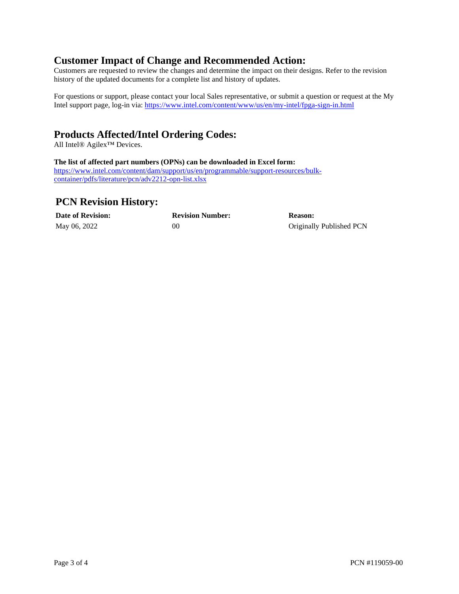#### **Customer Impact of Change and Recommended Action:**

Customers are requested to review the changes and determine the impact on their designs. Refer to the revision history of the updated documents for a complete list and history of updates.

For questions or support, please contact your local Sales representative, or submit a question or request at the My Intel support page, log-in via:<https://www.intel.com/content/www/us/en/my-intel/fpga-sign-in.html>

### **Products Affected/Intel Ordering Codes:**

All Intel® Agilex™ Devices.

#### **The list of affected part numbers (OPNs) can be downloaded in Excel form:**

[https://www.intel.com/content/dam/support/us/en/programmable/support-resources/bulk](https://www.intel.com/content/dam/support/us/en/programmable/support-resources/bulk-container/pdfs/literature/pcn/adv2212-opn-list.xlsx)[container/pdfs/literature/pcn/adv2212-opn-list.xlsx](https://www.intel.com/content/dam/support/us/en/programmable/support-resources/bulk-container/pdfs/literature/pcn/adv2212-opn-list.xlsx)

#### **PCN Revision History:**

| <b>Date of Revision:</b> | <b>Revision Number:</b> | <b>Reason:</b>           |
|--------------------------|-------------------------|--------------------------|
| May 06, 2022             | 00                      | Originally Published PCN |